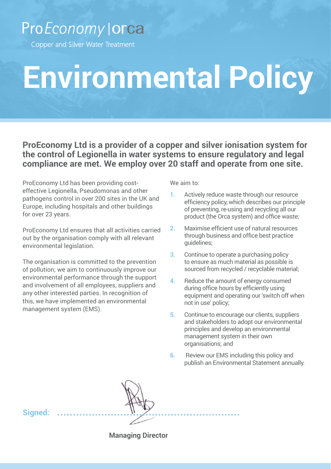## ProEconomy | orca

Copper and Silver Water Treatment

## **Environmental Policy**

**ProEconomy Ltd is a provider of a copper and silver ionisation system for the control of Legionella in water systems to ensure regulatory and legal compliance are met. We employ over 20 staff and operate from one site.** 

ProEconomy Ltd has been providing costeffective Legionella, Pseudomonas and other pathogens control in over 200 sites in the UK and Europe, including hospitals and other buildings for over 23 years.

ProEconomy Ltd ensures that all activities carried out by the organisation comply with all relevant environmental legislation.

The organisation is committed to the prevention of pollution; we aim to continuously improve our environmental performance through the support and involvement of all employees, suppliers and any other interested parties. In recognition of this, we have implemented an environmental management system (EMS).

We aim to:

- **1.** Actively reduce waste through our resource efficiency policy, which describes our principle of preventing, re-using and recycling all our product (the Orca system) and office waste;
- **2.** Maximise efficient use of natural resources through business and office best practice guidelines;
- **3.** Continue to operate a purchasing policy to ensure as much material as possible is sourced from recycled / recyclable material;
- **4.** Reduce the amount of energy consumed during office hours by efficiently using equipment and operating our 'switch off when not in use' policy;
- **5.** Continue to encourage our clients, suppliers and stakeholders to adopt our environmental principles and develop an environmental management system in their own organisations; and
- **6.** Review our EMS including this policy and publish an Environmental Statement annually.

**Signed:**

**Managing Director**